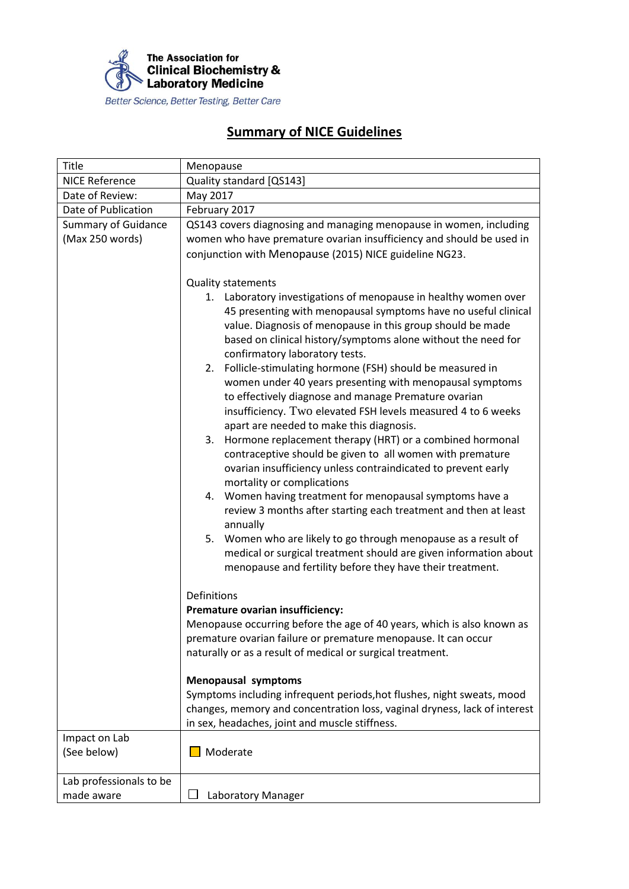

## **Summary of NICE Guidelines**

| Title                                         | Menopause                                                                                                                                                                                                                                                                                                                                                                                                                                                                                                                                                                                                                                                                                                                                                                                                                                                                                                                                                                                                                                                                                                                                                                                                        |
|-----------------------------------------------|------------------------------------------------------------------------------------------------------------------------------------------------------------------------------------------------------------------------------------------------------------------------------------------------------------------------------------------------------------------------------------------------------------------------------------------------------------------------------------------------------------------------------------------------------------------------------------------------------------------------------------------------------------------------------------------------------------------------------------------------------------------------------------------------------------------------------------------------------------------------------------------------------------------------------------------------------------------------------------------------------------------------------------------------------------------------------------------------------------------------------------------------------------------------------------------------------------------|
| <b>NICE Reference</b>                         | Quality standard [QS143]                                                                                                                                                                                                                                                                                                                                                                                                                                                                                                                                                                                                                                                                                                                                                                                                                                                                                                                                                                                                                                                                                                                                                                                         |
| Date of Review:                               | May 2017                                                                                                                                                                                                                                                                                                                                                                                                                                                                                                                                                                                                                                                                                                                                                                                                                                                                                                                                                                                                                                                                                                                                                                                                         |
| Date of Publication                           | February 2017                                                                                                                                                                                                                                                                                                                                                                                                                                                                                                                                                                                                                                                                                                                                                                                                                                                                                                                                                                                                                                                                                                                                                                                                    |
| <b>Summary of Guidance</b><br>(Max 250 words) | QS143 covers diagnosing and managing menopause in women, including<br>women who have premature ovarian insufficiency and should be used in<br>conjunction with Menopause (2015) NICE guideline NG23.                                                                                                                                                                                                                                                                                                                                                                                                                                                                                                                                                                                                                                                                                                                                                                                                                                                                                                                                                                                                             |
|                                               | <b>Quality statements</b><br>1. Laboratory investigations of menopause in healthy women over<br>45 presenting with menopausal symptoms have no useful clinical<br>value. Diagnosis of menopause in this group should be made<br>based on clinical history/symptoms alone without the need for<br>confirmatory laboratory tests.<br>Follicle-stimulating hormone (FSH) should be measured in<br>2.<br>women under 40 years presenting with menopausal symptoms<br>to effectively diagnose and manage Premature ovarian<br>insufficiency. Two elevated FSH levels measured 4 to 6 weeks<br>apart are needed to make this diagnosis.<br>Hormone replacement therapy (HRT) or a combined hormonal<br>3.<br>contraceptive should be given to all women with premature<br>ovarian insufficiency unless contraindicated to prevent early<br>mortality or complications<br>Women having treatment for menopausal symptoms have a<br>4.<br>review 3 months after starting each treatment and then at least<br>annually<br>5. Women who are likely to go through menopause as a result of<br>medical or surgical treatment should are given information about<br>menopause and fertility before they have their treatment. |
|                                               | Definitions<br>Premature ovarian insufficiency:<br>Menopause occurring before the age of 40 years, which is also known as<br>premature ovarian failure or premature menopause. It can occur<br>naturally or as a result of medical or surgical treatment.<br><b>Menopausal symptoms</b><br>Symptoms including infrequent periods, hot flushes, night sweats, mood                                                                                                                                                                                                                                                                                                                                                                                                                                                                                                                                                                                                                                                                                                                                                                                                                                                |
|                                               | changes, memory and concentration loss, vaginal dryness, lack of interest<br>in sex, headaches, joint and muscle stiffness.                                                                                                                                                                                                                                                                                                                                                                                                                                                                                                                                                                                                                                                                                                                                                                                                                                                                                                                                                                                                                                                                                      |
| Impact on Lab<br>(See below)                  | Moderate                                                                                                                                                                                                                                                                                                                                                                                                                                                                                                                                                                                                                                                                                                                                                                                                                                                                                                                                                                                                                                                                                                                                                                                                         |
| Lab professionals to be<br>made aware         | Laboratory Manager                                                                                                                                                                                                                                                                                                                                                                                                                                                                                                                                                                                                                                                                                                                                                                                                                                                                                                                                                                                                                                                                                                                                                                                               |